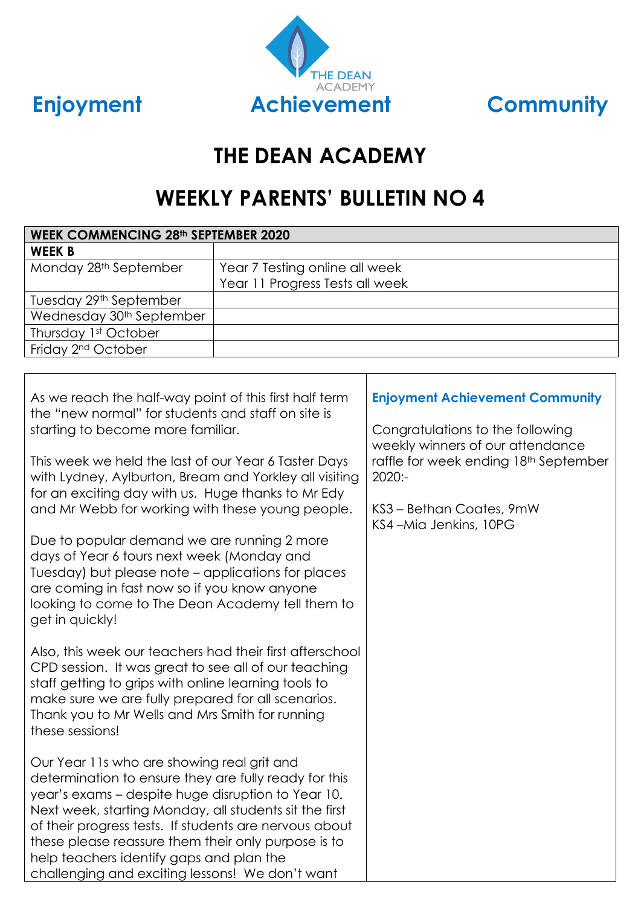



# **THE DEAN ACADEMY**

# **WEEKLY PARENTS' BULLETIN NO 4**

| <b>WEEK COMMENCING 28th SEPTEMBER 2020</b>                                                                                                                                                                                                                                                                                                                                                                                                                                                                                                                                                                                                              |                                 |                                                                                                                                                                                                                        |
|---------------------------------------------------------------------------------------------------------------------------------------------------------------------------------------------------------------------------------------------------------------------------------------------------------------------------------------------------------------------------------------------------------------------------------------------------------------------------------------------------------------------------------------------------------------------------------------------------------------------------------------------------------|---------------------------------|------------------------------------------------------------------------------------------------------------------------------------------------------------------------------------------------------------------------|
| <b>WEEK B</b>                                                                                                                                                                                                                                                                                                                                                                                                                                                                                                                                                                                                                                           |                                 |                                                                                                                                                                                                                        |
| Monday 28th September                                                                                                                                                                                                                                                                                                                                                                                                                                                                                                                                                                                                                                   | Year 7 Testing online all week  |                                                                                                                                                                                                                        |
|                                                                                                                                                                                                                                                                                                                                                                                                                                                                                                                                                                                                                                                         | Year 11 Progress Tests all week |                                                                                                                                                                                                                        |
| Tuesday 29th September                                                                                                                                                                                                                                                                                                                                                                                                                                                                                                                                                                                                                                  |                                 |                                                                                                                                                                                                                        |
| Wednesday 30 <sup>th</sup> September                                                                                                                                                                                                                                                                                                                                                                                                                                                                                                                                                                                                                    |                                 |                                                                                                                                                                                                                        |
| Thursday 1st October                                                                                                                                                                                                                                                                                                                                                                                                                                                                                                                                                                                                                                    |                                 |                                                                                                                                                                                                                        |
| Friday 2 <sup>nd</sup> October                                                                                                                                                                                                                                                                                                                                                                                                                                                                                                                                                                                                                          |                                 |                                                                                                                                                                                                                        |
|                                                                                                                                                                                                                                                                                                                                                                                                                                                                                                                                                                                                                                                         |                                 |                                                                                                                                                                                                                        |
| As we reach the half-way point of this first half term<br>the "new normal" for students and staff on site is<br>starting to become more familiar.<br>This week we held the last of our Year 6 Taster Days<br>with Lydney, Aylburton, Bream and Yorkley all visiting<br>for an exciting day with us. Huge thanks to Mr Edy<br>and Mr Webb for working with these young people.<br>Due to popular demand we are running 2 more<br>days of Year 6 tours next week (Monday and<br>Tuesday) but please note - applications for places<br>are coming in fast now so if you know anyone<br>looking to come to The Dean Academy tell them to<br>get in quickly! |                                 | <b>Enjoyment Achievement Community</b><br>Congratulations to the following<br>weekly winners of our attendance<br>raffle for week ending 18th September<br>2020:-<br>KS3 - Bethan Coates, 9mW<br>KS4-Mia Jenkins, 10PG |
| Also, this week our teachers had their first afterschool<br>CPD session. It was great to see all of our teaching<br>staff getting to grips with online learning tools to<br>make sure we are fully prepared for all scenarios.<br>Thank you to Mr Wells and Mrs Smith for running<br>these sessions!<br>Our Year 11s who are showing real grit and<br>determination to ensure they are fully ready for this<br>year's exams - despite huge disruption to Year 10.                                                                                                                                                                                       |                                 |                                                                                                                                                                                                                        |
| Next week, starting Monday, all students sit the first<br>of their progress tests. If students are nervous about<br>these please reassure them their only purpose is to<br>help teachers identify gaps and plan the<br>challenging and exciting lessons! We don't want                                                                                                                                                                                                                                                                                                                                                                                  |                                 |                                                                                                                                                                                                                        |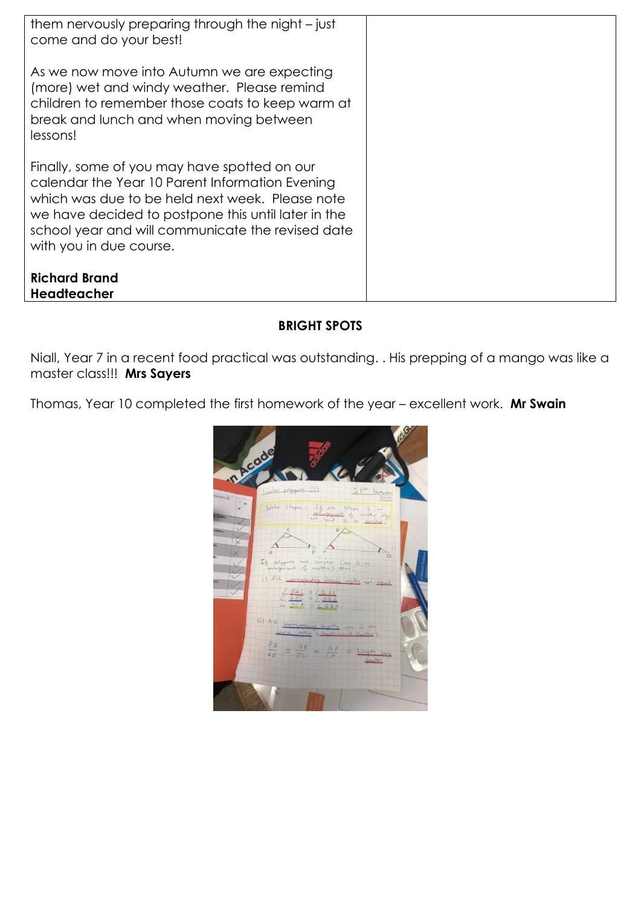| them nervously preparing through the night – just<br>come and do your best!<br>As we now move into Autumn we are expecting<br>(more) wet and windy weather. Please remind<br>children to remember those coats to keep warm at<br>break and lunch and when moving between<br>lessons!<br>Finally, some of you may have spotted on our<br>calendar the Year 10 Parent Information Evening<br>which was due to be held next week. Please note |
|--------------------------------------------------------------------------------------------------------------------------------------------------------------------------------------------------------------------------------------------------------------------------------------------------------------------------------------------------------------------------------------------------------------------------------------------|
|                                                                                                                                                                                                                                                                                                                                                                                                                                            |
|                                                                                                                                                                                                                                                                                                                                                                                                                                            |
|                                                                                                                                                                                                                                                                                                                                                                                                                                            |
|                                                                                                                                                                                                                                                                                                                                                                                                                                            |
|                                                                                                                                                                                                                                                                                                                                                                                                                                            |
|                                                                                                                                                                                                                                                                                                                                                                                                                                            |
|                                                                                                                                                                                                                                                                                                                                                                                                                                            |
|                                                                                                                                                                                                                                                                                                                                                                                                                                            |
|                                                                                                                                                                                                                                                                                                                                                                                                                                            |
|                                                                                                                                                                                                                                                                                                                                                                                                                                            |
|                                                                                                                                                                                                                                                                                                                                                                                                                                            |
|                                                                                                                                                                                                                                                                                                                                                                                                                                            |
|                                                                                                                                                                                                                                                                                                                                                                                                                                            |
|                                                                                                                                                                                                                                                                                                                                                                                                                                            |
|                                                                                                                                                                                                                                                                                                                                                                                                                                            |
| we have decided to postpone this until later in the                                                                                                                                                                                                                                                                                                                                                                                        |
| school year and will communicate the revised date                                                                                                                                                                                                                                                                                                                                                                                          |
| with you in due course.                                                                                                                                                                                                                                                                                                                                                                                                                    |
|                                                                                                                                                                                                                                                                                                                                                                                                                                            |
|                                                                                                                                                                                                                                                                                                                                                                                                                                            |
| <b>Richard Brand</b>                                                                                                                                                                                                                                                                                                                                                                                                                       |
| <b>Headteacher</b>                                                                                                                                                                                                                                                                                                                                                                                                                         |

### **BRIGHT SPOTS**

Niall, Year 7 in a recent food practical was outstanding. . His prepping of a mango was like a master class!!! **Mrs Sayers**

Thomas, Year 10 completed the first homework of the year – excellent work. **Mr Swain**

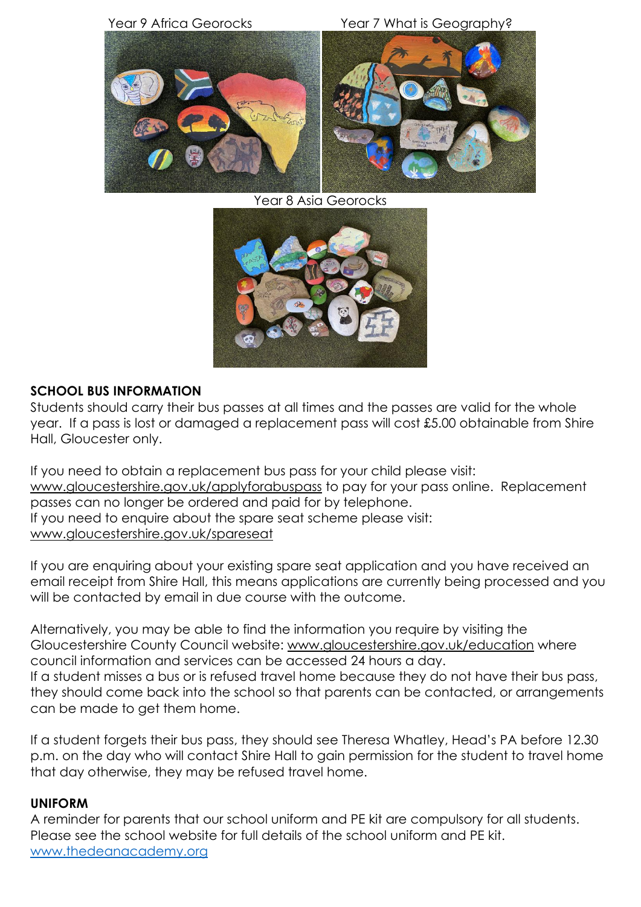

Year 8 Asia Georocks



#### **SCHOOL BUS INFORMATION**

Students should carry their bus passes at all times and the passes are valid for the whole year. If a pass is lost or damaged a replacement pass will cost £5.00 obtainable from Shire Hall, Gloucester only.

If you need to obtain a replacement bus pass for your child please visit: [www.gloucestershire.gov.uk/applyforabuspass](http://www.gloucestershire.gov.uk/applyforabuspass) to pay for your pass online. Replacement passes can no longer be ordered and paid for by telephone. If you need to enquire about the spare seat scheme please visit: [www.gloucestershire.gov.uk/spareseat](http://www.gloucestershire.gov.uk/spareseat)

If you are enquiring about your existing spare seat application and you have received an email receipt from Shire Hall, this means applications are currently being processed and you will be contacted by email in due course with the outcome.

Alternatively, you may be able to find the information you require by visiting the Gloucestershire County Council website: [www.gloucestershire.gov.uk/education](http://www.gloucestershire.gov.uk/education) where council information and services can be accessed 24 hours a day. If a student misses a bus or is refused travel home because they do not have their bus pass, they should come back into the school so that parents can be contacted, or arrangements can be made to get them home.

If a student forgets their bus pass, they should see Theresa Whatley, Head's PA before 12.30 p.m. on the day who will contact Shire Hall to gain permission for the student to travel home that day otherwise, they may be refused travel home.

#### **UNIFORM**

A reminder for parents that our school uniform and PE kit are compulsory for all students. Please see the school website for full details of the school uniform and PE kit. [www.thedeanacademy.org](http://www.thedeanacademy.org/)